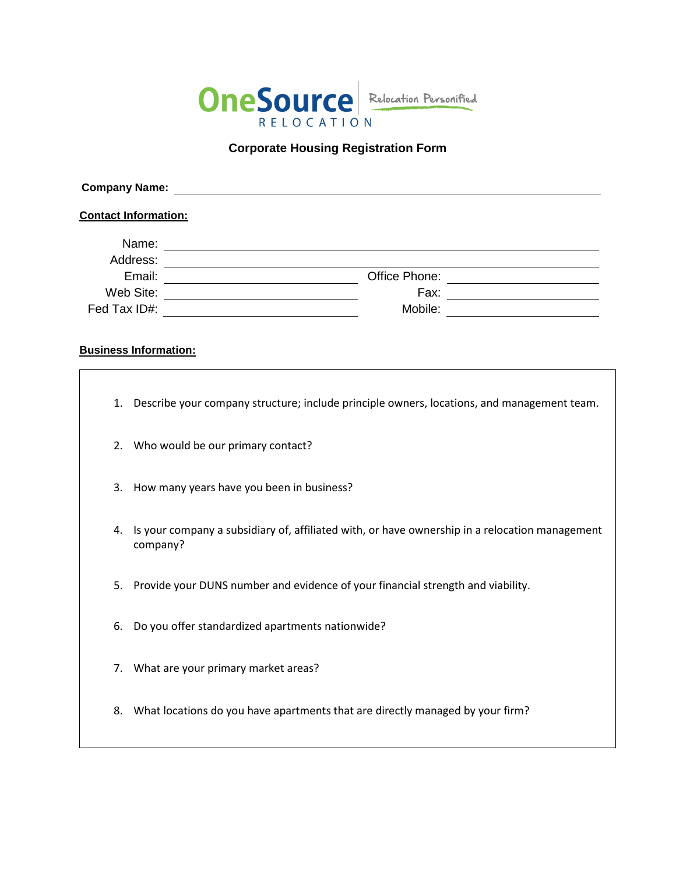

## **Corporate Housing Registration Form**

| <b>Company Name:</b><br><b>Contact Information:</b> |  |               |  |
|-----------------------------------------------------|--|---------------|--|
|                                                     |  |               |  |
| Address:                                            |  |               |  |
| Email:                                              |  | Office Phone: |  |
| Web Site:                                           |  | Fax:          |  |
| Fed Tax ID#:                                        |  | Mobile:       |  |

## **Business Information:**

- 1. Describe your company structure; include principle owners, locations, and management team.
- 2. Who would be our primary contact?
- 3. How many years have you been in business?
- 4. Is your company a subsidiary of, affiliated with, or have ownership in a relocation management company?
- 5. Provide your DUNS number and evidence of your financial strength and viability.
- 6. Do you offer standardized apartments nationwide?
- 7. What are your primary market areas?
- 8. What locations do you have apartments that are directly managed by your firm?